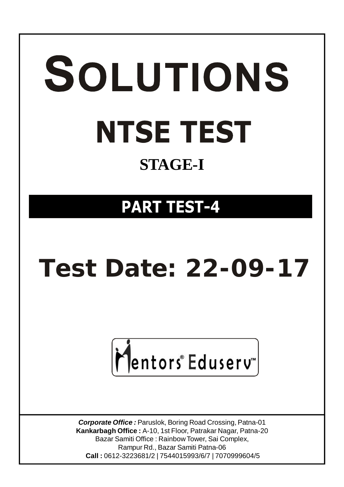# SOLUTIONS **NTSE TEST STAGE-I**

## **PART TEST-4**

# **Test Date: 22-09-17**



*Corporate Office :* Paruslok, Boring Road Crossing, Patna-01 **Kankarbagh Office :** A-10, 1st Floor, Patrakar Nagar, Patna-20 Bazar Samiti Office : Rainbow Tower, Sai Complex, Rampur Rd., Bazar Samiti Patna-06  **Call :** 0612-3223681/2 | 7544015993/6/7 | 7070999604/5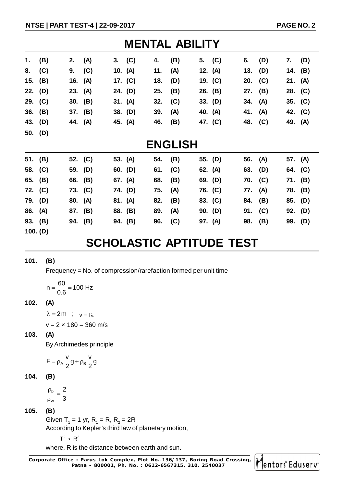| <b>MENTAL ABILITY</b> |                |          |         |  |           |     |     |  |           |           |     |         |           |
|-----------------------|----------------|----------|---------|--|-----------|-----|-----|--|-----------|-----------|-----|---------|-----------|
| 1.                    | (B)            | 2. $(A)$ |         |  | 3. (C)    | 4.  | (B) |  | 5. $(C)$  | 6.        | (D) | 7.      | (D)       |
| 8.                    | (C)            |          | 9. (C)  |  | 10. $(A)$ | 11. | (A) |  | 12. (A)   | 13. $(D)$ |     |         | 14. (B)   |
|                       | 15. (B)        | 16. (A)  |         |  | 17. (C)   | 18. | (D) |  | 19. (C)   | 20. (C)   |     | 21. (A) |           |
|                       | 22. (D)        | 23. (A)  |         |  | 24. (D)   | 25. | (B) |  | 26. (B)   | 27. (B)   |     |         | 28. $(C)$ |
|                       | 29. (C)        |          | 30. (B) |  | 31. (A)   | 32. | (C) |  | 33. $(D)$ | 34. (A)   |     |         | 35. (C)   |
|                       | 36. (B)        |          | 37. (B) |  | 38. (D)   | 39. | (A) |  | 40. (A)   | 41. (A)   |     |         | 42. (C)   |
|                       | 43. (D)        | 44. (A)  |         |  | 45. (A)   | 46. | (B) |  | 47. (C)   | 48. (C)   |     | 49. (A) |           |
|                       | 50. (D)        |          |         |  |           |     |     |  |           |           |     |         |           |
|                       | <b>ENGLISH</b> |          |         |  |           |     |     |  |           |           |     |         |           |

| 51. (B) |         | 52. (C) | 53. $(A)$ | 54. | (B) | 55. (D) | 56. (A) |     | 57. (A) |
|---------|---------|---------|-----------|-----|-----|---------|---------|-----|---------|
| 58. (C) |         | 59. (D) | 60. (D)   | 61. | (C) | 62. (A) | 63. (D) |     | 64. (C) |
| 65. (B) |         | 66. (B) | 67. (A)   | 68. | (B) | 69. (D) | 70. (C) |     | 71. (B) |
| 72. (C) |         | 73. (C) | 74. (D)   | 75. | (A) | 76. (C) | 77. (A) |     | 78. (B) |
| 79. (D) | 80. (A) |         | 81. (A)   | 82. | (B) | 83. (C) | 84. (B) |     | 85. (D) |
| 86. (A) |         | 87. (B) | 88. (B)   | 89. | (A) | 90. (D) | 91.     | (C) | 92. (D) |
| 93. (B) |         | 94. (B) | 94. (B)   | 96. | (C) | 97. (A) | 98.     | (B) | 99. (D) |
|         |         |         |           |     |     |         |         |     |         |

**100. (D)**

### **SCHOLASTIC APTITUDE TEST**

#### **101. (B)**

Frequency = No. of compression/rarefaction formed per unit time

 $n = \frac{60}{30} = 100$  Hz 0.6  $=\frac{88}{0.0}$  = 1

#### **102. (A)**

 $\lambda = 2m$  ;  $v = f\lambda$ 

 $v = 2 \times 180 = 360$  m/s

**103. (A)**

By Archimedes principle

$$
F=\rho_A\,\frac{v}{2}\,g+\rho_B\,\frac{v}{2}\,g
$$

**104. (B)**

b w 2 3  $\frac{\rho_{b}}{2}$  =  $\rho$ 

#### **105. (B)**

Given T<sub>1</sub> = 1 yr, R<sub>1</sub> = R, R<sub>2</sub> = 2R

According to Kepler's third law of planetary motion,

 $T^2 \propto R^3$ 

where, R is the distance between earth and sun.

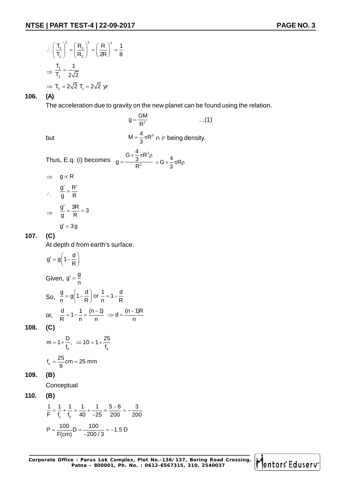$$
\therefore \left(\frac{T_1}{T_2}\right)^2 = \left(\frac{R_1}{R_2}\right)^3 = \left(\frac{R}{2R}\right)^3 = \frac{1}{8}
$$

$$
\Rightarrow \frac{T_1}{T_2} = \frac{1}{2\sqrt{2}}
$$

$$
\Rightarrow T_2 = 2\sqrt{2} \text{ } T_1 = 2\sqrt{2} \text{ yr}
$$

#### **106. (A)**

The acceleration due to gravity on the new planet can be found using the relation.

2  $g = \frac{GM}{R^2}$  $=\frac{3m}{R^2}$  ...(1) but  $M = \frac{4}{3} \pi R^3 \rho, \rho$  being density. Thus, E.q. (i) becomes 3 2  $g = \frac{G \times \frac{4}{3} \pi R}{R}$ R  $\times \frac{1}{6} \pi R^3 \rho$  $=\frac{3\pi\sqrt{9}}{R^2}$  =  $G \times \frac{4}{3}\pi R\rho$  $\Rightarrow$  g  $\propto$  R g' R g R  $\frac{R'}{R} = \frac{R'}{R}$  $\Rightarrow \frac{g'}{g} = \frac{3R}{R} = 3$  $\frac{7}{2} = \frac{3R}{R} = 3$  $g' = 3g$ 

#### **107. (C)**

 $\mathcal{L}_{\bullet}$ 

At depth d from earth's surface.

$$
g' = g\left(1 - \frac{d}{R}\right)
$$

Given,  $g' = \frac{g}{n}$ So,  $\frac{g}{n} = g \left( 1 - \frac{d}{R} \right)$  or  $\frac{1}{n} = 1 - \frac{d}{R}$  $= g\left(1-\frac{d}{R}\right)$  or  $\frac{1}{n} = 1-\frac{1}{R}$ or,  $\frac{d}{R} = 1 - \frac{1}{n} = \frac{(n-1)}{n} \Rightarrow d = \frac{(n-1)R}{n}$  $= 1 - \frac{1}{-} = \frac{(n-1)}{2} \Rightarrow d = \frac{(n-1)}{2}$ 

**108. (C)**

$$
m = 1 + \frac{D}{f_e}, \Rightarrow 10 = 1 + \frac{25}{f_e}
$$

$$
f_e = \frac{25}{9} \text{cm} = 25 \text{ mm}
$$

**109. (B)**

**Conceptual** 

$$
110. (B)
$$

$$
\frac{1}{F} = \frac{1}{f_1} + \frac{1}{f_2} = \frac{1}{40} + \frac{1}{-25} = \frac{5 - 8}{200} = -\frac{3}{200}
$$

$$
P = \frac{100}{F(cm)}D = \frac{100}{-200/3} = -1.5 D
$$

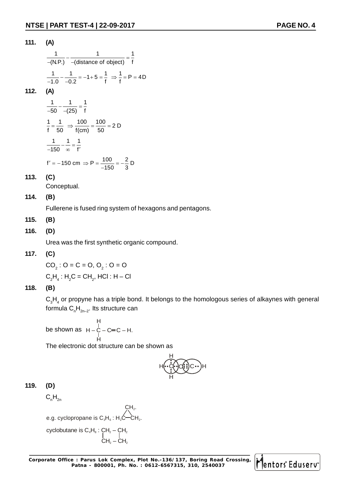**111. (A)** 1 1 1  $\frac{1}{-(N.P.)} - \frac{1}{-(distance of object)} = \frac{1}{f}$  $\frac{1}{-1.0} - \frac{1}{-0.2} = -1 + 5 = \frac{1}{f} \Rightarrow \frac{1}{f} = P = 4D$ **112. (A)** 1 1 1  $\frac{1}{-50} - \frac{1}{-(25)} = \frac{1}{f}$  $\frac{1}{f} = \frac{1}{50}$   $\Rightarrow \frac{100}{f(cm)} = \frac{100}{50} = 2 D$ 1 1 1  $\frac{1}{-150} - \frac{1}{\infty} = \frac{1}{f'}$ 

$$
f' = -150 \text{ cm} \implies P = \frac{100}{-150} = -\frac{2}{3} \text{ D}
$$

#### **113. (C)**

Conceptual.

#### **114. (B)**

Fullerene is fused ring system of hexagons and pentagons.

#### **115. (B)**

#### **116. (D)**

Urea was the first synthetic organic compound.

#### **117. (C)**

 $CO_2: O = C = O, O_2: O = O$ 

 $C_2H_4$  :  $H_2C = CH_2$ , HCl : H – Cl

#### **118. (B)**

 $\mathsf{C}_3\mathsf{H}_4$  or propyne has a triple bond. It belongs to the homologous series of alkaynes with general formula  $C_{n}H_{2n-2}$ . Its structure can

$$
H
$$
\nbe shown as  $H - C = C - H$ .  
\n
$$
H
$$

The electronic dot structure can be shown as

$$
H\left(\begin{matrix} \cdot & \cdot \\ \cdot & \cdot \\ \cdot & \cdot \\ \cdot & \cdot \\ \cdot & \cdot \end{matrix}\right) \overrightarrow{H}
$$

#### **119. (D)**

 $C_nH_{2n}$ 

e.g. cyclopropane is  $C_3H_6$ : H<sub>2</sub>C-CH<sub>2</sub>.

cyclobutane is  $C_4H_8$ : CH<sub>2</sub> – CH<sub>2</sub>  $CH<sub>2</sub> - CH<sub>2</sub>$ 

 $CH<sub>2</sub>$ 

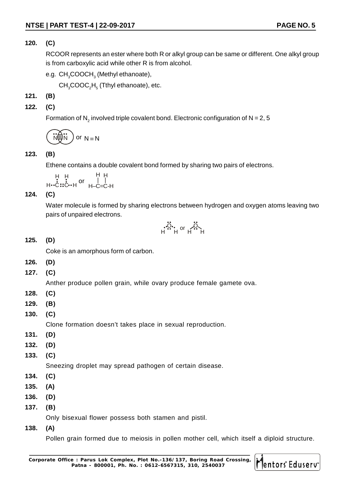#### **120. (C)**

RCOOR represents an ester where both R or alkyl group can be same or different. One alkyl group is from carboxylic acid while other R is from alcohol.

e.g.  $\mathsf{CH}_{_{3}}\mathsf{COOCH}_{_{3}}$  (Methyl ethanoate),

 $\textsf{CH}_{\textsf{3}}\textsf{COOC}_2\textsf{H}_{\textsf{5}}$  (Tthyl ethanoate), etc.

#### **121. (B)**

**122. (C)**

Formation of  $\mathsf{N}_2$  involved triple covalent bond. Electronic configuration of  $\mathsf{N}$  = 2, 5

$$
\widehat{N(\mathbf{u})N}
$$
 or  $N \equiv N$ 

#### **123. (B)**

Ethene contains a double covalent bond formed by sharing two pairs of electrons.

H H H C C H or H H | | H–C=C-H

**124. (C)**

Water molecule is formed by sharing electrons between hydrogen and oxygen atoms leaving two pairs of unpaired electrons.

$$
\ddot{\ddot{\mathbf{u}}}_{H}^{\mathbf{u}}\mathbf{h}^{\text{or}}\mathbf{h}^{\mathbf{u}\ddot{\mathbf{v}}}_{H}
$$

#### **125. (D)**

Coke is an amorphous form of carbon.

- **126. (D)**
- **127. (C)**

Anther produce pollen grain, while ovary produce female gamete ova.

- **128. (C)**
- **129. (B)**
- **130. (C)**

Clone formation doesn't takes place in sexual reproduction.

- **131. (D)**
- **132. (D)**
- **133. (C)**

Sneezing droplet may spread pathogen of certain disease.

- **134. (C)**
- **135. (A)**
- **136. (D)**
- **137. (B)**

Only bisexual flower possess both stamen and pistil.

**138. (A)**

Pollen grain formed due to meiosis in pollen mother cell, which itself a diploid structure.

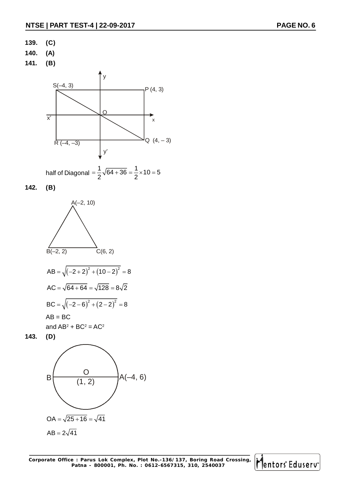- **139. (C)**
- **140. (A)**
- **141. (B)**



half of Diagonal =  $\frac{1}{2}\sqrt{64+36} = \frac{1}{2} \times 10 = 5$ 2<sup>2</sup>  $=\frac{1}{2}\sqrt{64}+36=\frac{1}{2}\times 10=5$ 

**142. (B)**





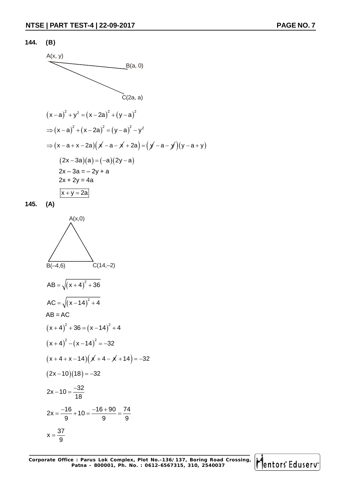#### **144. (B)**



**145. (A)**



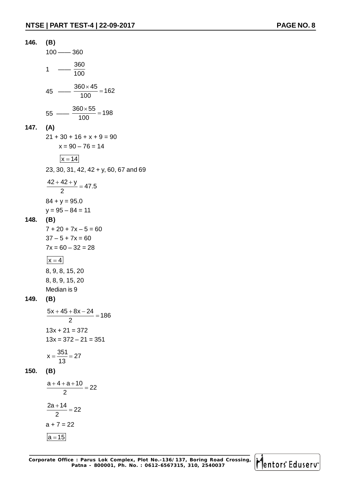

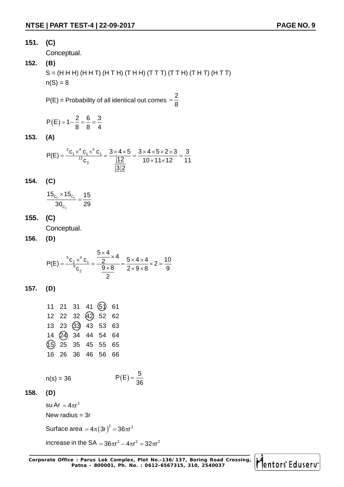#### **151. (C)**

Conceptual.

#### **152. (B)**

 $S = (H H H) (H H T) (H T H) (T H H) (T T T) (T T H) (T H T) (H T T)$  $n(S) = 8$ 

 $P(E)$  = Probability of all identical out comes 2 8  $=$ 

$$
P(E) = 1 - \frac{2}{8} = \frac{6}{8} = \frac{3}{4}
$$

**153. (A)**

$$
P(E) = \frac{{}^{3}C_{1} \times {}^{4}C_{1} \times {}^{5}C_{1}}{{}^{12}C_{3}} = \frac{3 \times 4 \times 5}{\frac{|12|}{|3|2}} = \frac{3 \times 4 \times 5 \times 2 \times 3}{10 \times 11 \times 12} = \frac{3}{11}
$$

$$
154. (C)
$$

$$
\frac{15_{C_1} \times 15_{C_1}}{30_{C_2}} = \frac{15}{29}
$$

**155. (C)**

Conceptual.

**156. (D)**

$$
P(E) = \frac{{}^{5}C_{2} \times {}^{4}C_{1}}{{}^{9}C_{2}} = \frac{\frac{5 \times 4}{2} \times 4}{\frac{9 \times 8}{2}} = \frac{5 \times 4 \times 4}{2 \times 9 \times 8} \times 2 = \frac{10}{9}
$$

$$
157. (D)
$$

|  |  | 11 21 31 41 (5) 61  |  |
|--|--|---------------------|--|
|  |  | 12 22 32 42 52 62   |  |
|  |  | 13 23 33 43 53 63   |  |
|  |  | 14 24 34 44 54 64   |  |
|  |  | (15) 25 35 45 55 65 |  |
|  |  | 16 26 36 46 56 66   |  |
|  |  |                     |  |

 $n(s) = 36$ 

$$
P(E) = \frac{5}{36}
$$

$$
158. (D)
$$

su Ar  $=4\pi r^2$ New radius  $=$  3r

Surface area  $=4\pi\big(3\mathsf{r}\big)^2=36\pi\mathsf{r}^2$ 

increase in the SA  $= 36\pi r^2 - 4\pi r^2 = 32\pi r^2$ 

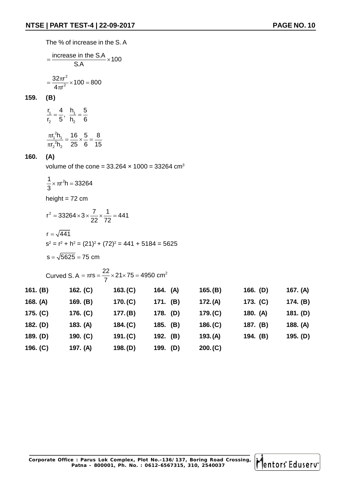The % of increase in the S. A

$$
= \frac{\text{increase in the S.A}}{\text{S.A}} \times 100
$$

$$
= \frac{32\pi r^2}{4\pi r^2} \times 100 = 800
$$

#### **159. (B)**

$$
\frac{r_1}{r_2} = \frac{4}{5}, \quad \frac{h_1}{h_2} = \frac{5}{6}
$$

$$
\frac{\pi r_1^2 h_1}{\pi r_2^2 h_2} = \frac{16}{25} \times \frac{5}{6} = \frac{8}{15}
$$

#### **160. (A)**

volume of the cone =  $33.264 \times 1000 = 33264$  cm<sup>3</sup>

$$
\frac{1}{3} \times \pi r^2 h = 33264
$$
  
height = 72 cm

$$
r^{2} = 33264 \times 3 \times \frac{7}{22} \times \frac{1}{72} = 441
$$
  
r =  $\sqrt{441}$   
s<sup>2</sup> = r<sup>2</sup> + h<sup>2</sup> = (21)<sup>2</sup> + (72)<sup>2</sup> = 441 + 5184 = 5625  
s =  $\sqrt{5625}$  = 75 cm

Curved S. A =  $\pi$ rs =  $\frac{22}{7}$  × 21 × 75 = 4950 cm<sup>2</sup> 7  $=\pi$ rs  $=\frac{22}{7}\times21\times75=4$ **161. (B) 162. (C) 163.(C) 164. (A) 165.(B) 166. (D) 167. (A) 168. (A) 169. (B) 170.(C) 171. (B) 172.(A) 173. (C) 174. (B) 175. (C) 176. (C) 177.(B) 178. (D) 179.(C) 180. (A) 181. (D) 182. (D) 183. (A) 184.(C) 185. (B) 186.(C) 187. (B) 188. (A) 189. (D) 190. (C) 191.(C) 192. (B) 193.(A) 194. (B) 195. (D) 196. (C) 197. (A) 198.(D) 199. (D) 200.(C)**